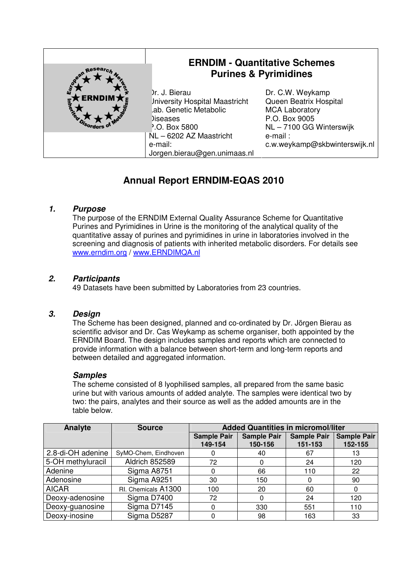| town Researc.                           | <b>ERNDIM - Quantitative Schemes</b><br><b>Purines &amp; Pyrimidines</b>                                             |                                                                                                                |  |
|-----------------------------------------|----------------------------------------------------------------------------------------------------------------------|----------------------------------------------------------------------------------------------------------------|--|
| Εū<br><b>ERNDIM7</b><br><b>Ineritos</b> | Dr. J. Bierau<br><b>Jniversity Hospital Maastricht</b><br>Lab. Genetic Metabolic<br>Diseases<br><b>P.O. Box 5800</b> | Dr. C.W. Weykamp<br>Queen Beatrix Hospital<br><b>MCA Laboratory</b><br>P.O. Box 9005<br>NL-7100 GG Winterswijk |  |
|                                         | NL-6202 AZ Maastricht<br>e-mail:<br>Jorgen.bierau@gen.unimaas.nl                                                     | e-mail:<br>c.w.weykamp@skbwinterswijk.nl                                                                       |  |

# **Annual Report ERNDIM-EQAS 2010**

#### **1. Purpose**

The purpose of the ERNDIM External Quality Assurance Scheme for Quantitative Purines and Pyrimidines in Urine is the monitoring of the analytical quality of the quantitative assay of purines and pyrimidines in urine in laboratories involved in the screening and diagnosis of patients with inherited metabolic disorders. For details see www.erndim.org / www.ERNDIMQA.nl

#### **2. Participants**

49 Datasets have been submitted by Laboratories from 23 countries.

#### **3. Design**

The Scheme has been designed, planned and co-ordinated by Dr. Jörgen Bierau as scientific advisor and Dr. Cas Weykamp as scheme organiser, both appointed by the ERNDIM Board. The design includes samples and reports which are connected to provide information with a balance between short-term and long-term reports and between detailed and aggregated information.

#### **Samples**

The scheme consisted of 8 lyophilised samples, all prepared from the same basic urine but with various amounts of added analyte. The samples were identical two by two: the pairs, analytes and their source as well as the added amounts are in the table below.

| Analyte           | <b>Source</b>         | <b>Added Quantities in micromol/liter</b> |                    |                    |                    |
|-------------------|-----------------------|-------------------------------------------|--------------------|--------------------|--------------------|
|                   |                       | <b>Sample Pair</b>                        | <b>Sample Pair</b> | <b>Sample Pair</b> | <b>Sample Pair</b> |
|                   |                       | 149-154                                   | 150-156            | 151-153            | 152-155            |
| 2.8-di-OH adenine | SyMO-Chem, Eindhoven  |                                           | 40                 | 67                 | 13                 |
| 5-OH methyluracil | <b>Aldrich 852589</b> | 72                                        | 0                  | 24                 | 120                |
| Adenine           | Sigma A8751           |                                           | 66                 | 110                | 22                 |
| Adenosine         | Sigma A9251           | 30                                        | 150                |                    | 90                 |
| <b>AICAR</b>      | RI. Chemicals A1300   | 100                                       | 20                 | 60                 | 0                  |
| Deoxy-adenosine   | Sigma D7400           | 72                                        | 0                  | 24                 | 120                |
| Deoxy-guanosine   | Sigma D7145           | 0                                         | 330                | 551                | 110                |
| Deoxy-inosine     | Sigma D5287           |                                           | 98                 | 163                | 33                 |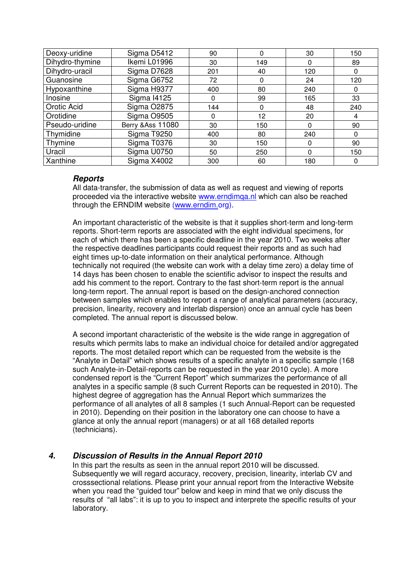| Deoxy-uridine   | Sigma D5412        | 90  | 0        | 30  | 150 |
|-----------------|--------------------|-----|----------|-----|-----|
| Dihydro-thymine | Ikemi L01996       | 30  | 149      | 0   | 89  |
| Dihydro-uracil  | Sigma D7628        | 201 | 40       | 120 | 0   |
| Guanosine       | Sigma G6752        | 72  | $\Omega$ | 24  | 120 |
| Hypoxanthine    | Sigma H9377        | 400 | 80       | 240 | 0   |
| Inosine         | <b>Sigma I4125</b> | 0   | 99       | 165 | 33  |
| Orotic Acid     | <b>Sigma O2875</b> | 144 | $\Omega$ | 48  | 240 |
| Orotidine       | Sigma O9505        | 0   | 12       | 20  | 4   |
| Pseudo-uridine  | Berry & Ass 11080  | 30  | 150      | 0   | 90  |
| Thymidine       | Sigma T9250        | 400 | 80       | 240 | 0   |
| Thymine         | Sigma T0376        | 30  | 150      | 0   | 90  |
| Uracil          | Sigma U0750        | 50  | 250      | 0   | 150 |
| Xanthine        | Sigma X4002        | 300 | 60       | 180 | 0   |

#### **Reports**

All data-transfer, the submission of data as well as request and viewing of reports proceeded via the interactive website www.erndimqa.nl which can also be reached through the ERNDIM website (www.erndim.org).

An important characteristic of the website is that it supplies short-term and long-term reports. Short-term reports are associated with the eight individual specimens, for each of which there has been a specific deadline in the year 2010. Two weeks after the respective deadlines participants could request their reports and as such had eight times up-to-date information on their analytical performance. Although technically not required (the website can work with a delay time zero) a delay time of 14 days has been chosen to enable the scientific advisor to inspect the results and add his comment to the report. Contrary to the fast short-term report is the annual long-term report. The annual report is based on the design-anchored connection between samples which enables to report a range of analytical parameters (accuracy, precision, linearity, recovery and interlab dispersion) once an annual cycle has been completed. The annual report is discussed below.

A second important characteristic of the website is the wide range in aggregation of results which permits labs to make an individual choice for detailed and/or aggregated reports. The most detailed report which can be requested from the website is the "Analyte in Detail" which shows results of a specific analyte in a specific sample (168 such Analyte-in-Detail-reports can be requested in the year 2010 cycle). A more condensed report is the "Current Report" which summarizes the performance of all analytes in a specific sample (8 such Current Reports can be requested in 2010). The highest degree of aggregation has the Annual Report which summarizes the performance of all analytes of all 8 samples (1 such Annual-Report can be requested in 2010). Depending on their position in the laboratory one can choose to have a glance at only the annual report (managers) or at all 168 detailed reports (technicians).

# **4. Discussion of Results in the Annual Report 2010**

In this part the results as seen in the annual report 2010 will be discussed. Subsequently we will regard accuracy, recovery, precision, linearity, interlab CV and crosssectional relations. Please print your annual report from the Interactive Website when you read the "guided tour" below and keep in mind that we only discuss the results of "all labs": it is up to you to inspect and interprete the specific results of your laboratory.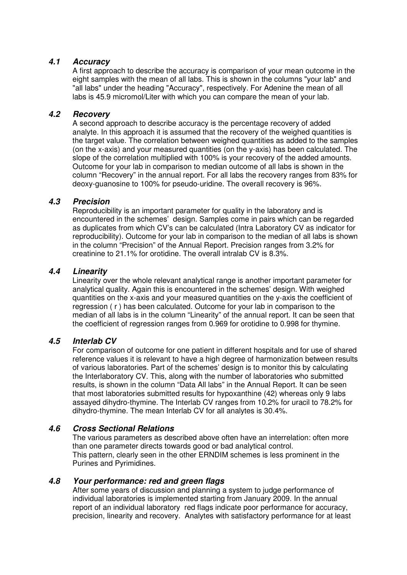#### **4.1 Accuracy**

A first approach to describe the accuracy is comparison of your mean outcome in the eight samples with the mean of all labs. This is shown in the columns "your lab" and "all labs" under the heading "Accuracy", respectively. For Adenine the mean of all labs is 45.9 micromol/Liter with which you can compare the mean of your lab.

#### **4.2 Recovery**

A second approach to describe accuracy is the percentage recovery of added analyte. In this approach it is assumed that the recovery of the weighed quantities is the target value. The correlation between weighed quantities as added to the samples (on the x-axis) and your measured quantities (on the y-axis) has been calculated. The slope of the correlation multiplied with 100% is your recovery of the added amounts. Outcome for your lab in comparison to median outcome of all labs is shown in the column "Recovery" in the annual report. For all labs the recovery ranges from 83% for deoxy-guanosine to 100% for pseudo-uridine. The overall recovery is 96%.

## **4.3 Precision**

Reproducibility is an important parameter for quality in the laboratory and is encountered in the schemes' design. Samples come in pairs which can be regarded as duplicates from which CV's can be calculated (Intra Laboratory CV as indicator for reproducibility). Outcome for your lab in comparison to the median of all labs is shown in the column "Precision" of the Annual Report. Precision ranges from 3.2% for creatinine to 21.1% for orotidine. The overall intralab CV is 8.3%.

#### **4.4 Linearity**

Linearity over the whole relevant analytical range is another important parameter for analytical quality. Again this is encountered in the schemes' design. With weighed quantities on the x-axis and your measured quantities on the y-axis the coefficient of regression ( r ) has been calculated. Outcome for your lab in comparison to the median of all labs is in the column "Linearity" of the annual report. It can be seen that the coefficient of regression ranges from 0.969 for orotidine to 0.998 for thymine.

# **4.5 Interlab CV**

For comparison of outcome for one patient in different hospitals and for use of shared reference values it is relevant to have a high degree of harmonization between results of various laboratories. Part of the schemes' design is to monitor this by calculating the Interlaboratory CV. This, along with the number of laboratories who submitted results, is shown in the column "Data All labs" in the Annual Report. It can be seen that most laboratories submitted results for hypoxanthine (42) whereas only 9 labs assayed dihydro-thymine. The Interlab CV ranges from 10.2% for uracil to 78.2% for dihydro-thymine. The mean Interlab CV for all analytes is 30.4%.

# **4.6 Cross Sectional Relations**

The various parameters as described above often have an interrelation: often more than one parameter directs towards good or bad analytical control. This pattern, clearly seen in the other ERNDIM schemes is less prominent in the Purines and Pyrimidines.

#### **4.8 Your performance: red and green flags**

After some years of discussion and planning a system to judge performance of individual laboratories is implemented starting from January 2009. In the annual report of an individual laboratory red flags indicate poor performance for accuracy, precision, linearity and recovery. Analytes with satisfactory performance for at least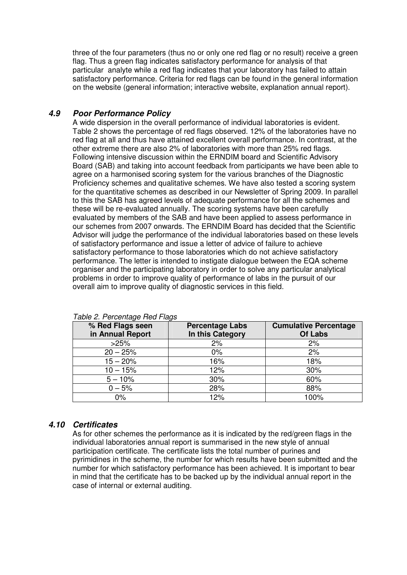three of the four parameters (thus no or only one red flag or no result) receive a green flag. Thus a green flag indicates satisfactory performance for analysis of that particular analyte while a red flag indicates that your laboratory has failed to attain satisfactory performance. Criteria for red flags can be found in the general information on the website (general information; interactive website, explanation annual report).

## **4.9 Poor Performance Policy**

A wide dispersion in the overall performance of individual laboratories is evident. Table 2 shows the percentage of red flags observed. 12% of the laboratories have no red flag at all and thus have attained excellent overall performance. In contrast, at the other extreme there are also 2% of laboratories with more than 25% red flags. Following intensive discussion within the ERNDIM board and Scientific Advisory Board (SAB) and taking into account feedback from participants we have been able to agree on a harmonised scoring system for the various branches of the Diagnostic Proficiency schemes and qualitative schemes. We have also tested a scoring system for the quantitative schemes as described in our Newsletter of Spring 2009. In parallel to this the SAB has agreed levels of adequate performance for all the schemes and these will be re-evaluated annually. The scoring systems have been carefully evaluated by members of the SAB and have been applied to assess performance in our schemes from 2007 onwards. The ERNDIM Board has decided that the Scientific Advisor will judge the performance of the individual laboratories based on these levels of satisfactory performance and issue a letter of advice of failure to achieve satisfactory performance to those laboratories which do not achieve satisfactory performance. The letter is intended to instigate dialogue between the EQA scheme organiser and the participating laboratory in order to solve any particular analytical problems in order to improve quality of performance of labs in the pursuit of our overall aim to improve quality of diagnostic services in this field.

| % Red Flags seen<br>in Annual Report | <b>Percentage Labs</b><br>In this Category | <b>Cumulative Percentage</b><br>Of Labs |
|--------------------------------------|--------------------------------------------|-----------------------------------------|
| >25%                                 | 2%                                         | 2%                                      |
| $20 - 25%$                           | $0\%$                                      | 2%                                      |
| $15 - 20%$                           | 16%                                        | 18%                                     |
| $10 - 15%$                           | 12%                                        | 30%                                     |
| $5 - 10%$                            | 30%                                        | 60%                                     |
| $0 - 5%$                             | 28%                                        | 88%                                     |
| 0%                                   | 12%                                        | 100%                                    |

Table 2. Percentage Red Flags

# **4.10 Certificates**

As for other schemes the performance as it is indicated by the red/green flags in the individual laboratories annual report is summarised in the new style of annual participation certificate. The certificate lists the total number of purines and pyrimidines in the scheme, the number for which results have been submitted and the number for which satisfactory performance has been achieved. It is important to bear in mind that the certificate has to be backed up by the individual annual report in the case of internal or external auditing.